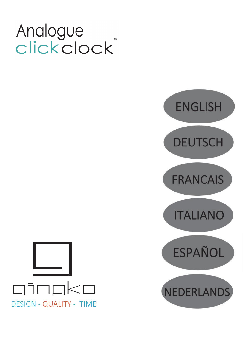# Analogue clickclock



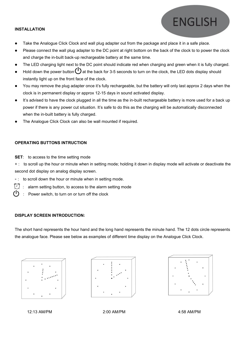# **INSTALLATION**

- Take the Analogue Click Clock and wall plug adapter out from the package and place it in a safe place.
- Please connect the wall plug adapter to the DC point at right bottom on the back of the clock to to power the clock and charge the in-built back-up rechargeable battery at the same time.
- The LED charging light next to the DC point should indicate red when charging and green when it is fully charged.
- Hold down the power button  $\bigcup$  at the back for 3-5 seconds to turn on the clock, the LED dots display should instantly light up on the front face of the clock.
- You may remove the plug adapter once it's fully rechargeable, but the battery will only last approx 2 days when the clock is in permanent display or approx 12-15 days in sound activated display.
- It's advised to have the clock plugged in all the time as the in-built rechargeable battery is more used for a back up power if there isany power cut situation. It's safe to do this as the charging will be automatically disconnected when the in-built battery is fully charged.
- The Analogue Click Clock can also be wall mounted if required.

# **OPERATING BUTTONS INTRUCTION**

#### **SET:** to access to the time setting mode

+ : to scroll up the hour or minute when in setting mode; holding it down in display mode will activate or deactivate the second dot display on analog display screen.

- -: to scroll down the hour or minute when in setting mode.
- alarm setting button, to access to the alarm setting mode
- Power switch, to turn on or turn off the clock

### **DISPLAY SCREEN INTRODUCTION:**

The short hand represents the hour hand and the long hand represents the minute hand. The 12 dots circle represents the analogue face. Please see below as examples of different time display on the Analogue Click Clock.







**ENGLISH** 

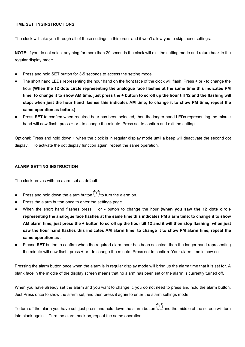# **TIME SETTINGINSTRUCTIONS**

The clock will take you through all of these settings in this order and it won't allow you to skip these settings.

**NOTE**: If you do not select anything for more than 20 seconds the clock will exit the setting mode and return back to the regular display mode.

- Press and hold **SET** button for 3-5 seconds to access the setting mode
- The short hand LEDs representing the hour hand on the frontface of the clock will flash. Press **+** or **-** to change the hour **(When the 12 dots circle representing the analogue face flashes at the same time this indicates PM** time; to change it to show AM time, just press the + button to scroll up the hour till 12 and the flashing will stop; when just the hour hand flashes this indicates AM time; to change it to show PM time, repeat the **same operation as before.)**
- Press **SET** to confirm when required hour has been selected, then the longer hand LEDs representing the minute hand will now flash, press + or - to change the minute. Press set to confirm and exit the setting.

Optional: Press and hold down **+** when the clock is in regular display mode until a beep will deactivate the second dot display. To activate the dot display function again, repeat the same operation.

#### **ALARM SETTING INSTRUCTION**

The clock arrives with no alarm set as default.

- Press and hold down the alarm button  $\widehat{I}$  to turn the alarm on.
- Press the alarm button once to enter the settings page
- When the short hand flashes press **+** or **-** button to change the hour **(when you saw the 12 dots circle** representing the analogue face flashes at the same time this indicates PM alarm time; to change it to show AM alarm time, just press the + button to scroll up the hour till 12 and it will then stop flashing; when just saw the hour hand flashes this indicates AM alarm time; to change it to show PM alarm time, repeat the **same operation as** .
- Please **SET** button to confirm when the required alarm hour has been selected, then the longer hand representing the minute will now flash, press **+** or - to change the minute. Press set to confirm. Your alarm time is now set.

Pressing the alarm button once when the alarm is in regular display mode will bring up the alarm time that it is setfor. A blank face in the middle of the display screen means that no alarm has been set or the alarm is currently turned off.

When you have already set the alarm and you want to change it, you do not need to press and hold the alarm button. Just Press once to show the alarm set, and then press it again to enter the alarm settings mode.

To turn off the alarm you have set, just press and hold down the alarm button  $\bigoplus$  and the middle of the screen will turn into blank again. Turn the alarm back on, repeat the same operation.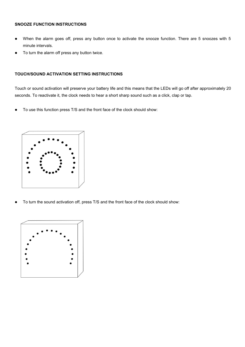## **SNOOZE FUNCTION INSTRUCTIONS**

- When the alarm goes off, press any button once to activate the snooze function. There are 5 snoozes with 5 minute intervals.
- To turn the alarm off press any button twice.

# **TOUCH/SOUND ACTIVATION SETTING INSTRUCTIONS**

Touch or sound activation will preserve your battery life and this means that the LEDs will go off after approximately 20 seconds. To reactivate it, the clock needs to hear a short sharp sound such as a click, clap or tap.

To use this function press T/S and the front face of the clock should show:



To turn the sound activation off, press T/S and the front face of the clock should show:

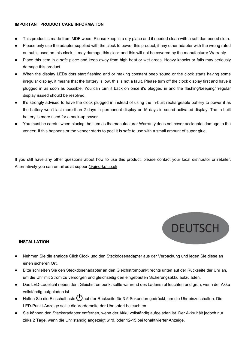# **IMPORTANT PRODUCT CARE INFORMATION**

- This product is made from MDF wood. Please keep in a dry place and if needed clean with a soft dampened cloth.
- Please only use the adapter supplied with the clock to power this product; if any other adapter with the wrong rated output is used on this clock, it may damage this clock and this will not be covered by the manufacturer Warranty.
- Place this item in a safe place and keep away from high heat or wet areas. Heavy knocks or falls may seriously damage this product.
- When the display LEDs dots start flashing and or making constant beep sound or the clock starts having some irregular display, it means that the battery is low, this is not a fault. Please turn off the clock display first and have it plugged in as soon as possible. You can turn it back on once it's plugged in and the flashing/beeping/irregular display issued should be resolved.
- It's strongly advised to have the clock plugged in instead of using the in-built rechargeable battery to power it as the battery won't last more than 2 days in permanent display or 15 days in sound activated display. The in-built battery is more used for a back-up power.
- You must be careful when placing the item as the manufacturer Warranty does not cover accidental damage to the veneer. If this happens or the veneer starts to peel it is safe to use with a small amount of super glue.

If you still have any other questions about how to use this product, please contact your local distributor or retailer. Alternatively you can email us at [support@ging-ko.co.uk](mailto:customer.service@ging-ko.co.uk)



# **INSTALLATION**

- Nehmen Sie die analoge Click Clock und den Steckdosenadapter aus der Verpackung und legen Sie diese an einen sicheren Ort.
- Bitte schließen Sie den Steckdosenadapter an den Gleichstrompunkt rechts unten auf der Rückseite der Uhr an,<br>um die Uhr mit Strom zu versorgen und gleichzeitig den eingebauten Sicherungsakku aufzuladen.
- Das LED-Ladelicht neben dem Gleichstrompunkt sollte während des Ladens rot leuchten und grün, wenn der Akku vollständig aufgeladen ist.
- Halten Sie die Einschalttaste (U) auf der Rückseite für 3-5 Sekunden gedrückt, um die Uhr einzuschalten. Die LED-Punkt-Anzeige sollte die Vorderseite der Uhr sofort beleuchten.
- Sie können den Steckeradapter entfernen, wenn der Akku vollständig aufgeladen ist. Der Akku hält jedoch nur zirka 2 Tage, wenn die Uhr ständig angezeigt wird, oder 12-15 bei tonaktivierter Anzeige.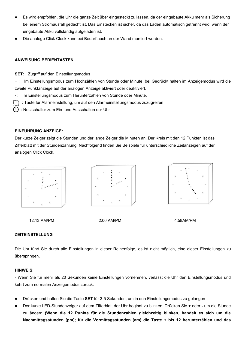- Es wird empfohlen, die Uhr die ganze Zeit über eingesteckt zu lassen, da der eingebaute Akku mehr als Sicherung bei einem Stromausfall gedacht ist. Das Einstecken ist sicher, da das Laden automatisch getrennt wird, wenn der eingebaute Akku vollständig aufgeladen ist.
- Die analoge Click Clock kann bei Bedarf auch an der Wand montiert werden.

# **ANWEISUNG BEDIENTASTEN**

**SET**: Zugriff auf den Einstellungsmodus

+ : Im Einstellungsmodus zum Hochzählen von Stunde oder Minute, bei Gedrückt halten im Anzeigemodus wird die zweite Punktanzeige auf der analogen Anzeige aktiviert oder deaktiviert.

- : Im Einstellungsmodus zum Herunterzählen von Stunde oder Minute.
- 9 : Taste für Alarmeinstellung, um auf den Alarmeinstellungsmodus zuzugreifen
- $\bigcap$ : Netzschalter zum Ein- und Ausschalten der Uhr

# **EINFÜHRUNG ANZEIGE:**

Der kurze Zeiger zeigt die Stunden und der lange Zeiger die Minuten an. Der Kreis mit den 12 Punkten ist das Zifferblatt mit der Stundenzählung. Nachfolgend finden Sie Beispiele für unterschiedliche Zeitanzeigen auf der analogen Click Clock.



12:13 AM/PM 2:00 AM/PM 4:58AM/PM

# **ZEITEINSTELLUNG**

Die Uhr führt Sie durch alle Einstellungen in dieser Reihenfolge, es ist nicht möglich, eine dieser Einstellungen zu überspringen.

#### **HINWEIS**:

- Wenn Sie für mehr als 20 Sekunden keine Einstellungen vornehmen, verlässt die Uhr den Einstellungsmodus und kehrt zum normalen Anzeigemodus zurück.

- Drücken und halten Sie die Taste **SET** für 3-5 Sekunden, um in den Einstellungsmodus zu gelangen
- Der kurze LED-Stundenzeiger auf dem Zifferblatt der Uhr beginnt zu blinken. Drücken Sie **+** oder **-** um die Stunde zu ändern **(Wenn die 12 Punkte für die Stundenzahlen gleichzeitig blinken, handelt es sich um die Nachmittagsstunden (pm); für die Vormittagsstunden (am) die Taste + bis 12 herunterzählen und das**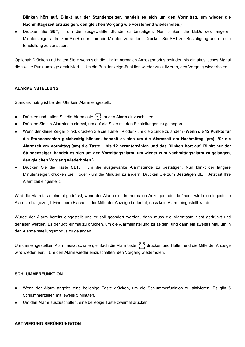**Blinken hört auf. Blinkt nur der Stundenzeiger, handelt es sich um den Vormittag, um wieder die Nachmittagszeit anzuzeigen, den gleichen Vorgang wie vorstehend wiederholen.)**

 Drücken Sie **SET,** um die ausgewählte Stunde zu bestätigen. Nun blinken die LEDs des längeren Minutenzeigers, drücken Sie + oder - um die Minuten zu ändern. Drücken Sie SET zur Bestätigung und um die Einstellung zu verlassen.

Optional: Drücken und halten Sie + wenn sich die Uhr im normalen Anzeigemodus befindet, bis ein akustisches Signal die zweite Punktanzeige deaktiviert. Um die Punktanzeige-Funktion wieder zu aktivieren, den Vorgang wiederholen.

# **ALARMEINSTELLUNG**

Standardmäßig ist bei der Uhr kein Alarm eingestellt.

- Drücken und halten Sie die Alarmtaste  $\widehat{I}$ um den Alarm einzuschalten.
- Drücken Sie die Alarmtaste einmal, um auf die Seite mit den Einstellungen zu gelangen
- Wenn der kleine Zeiger blinkt, drücken Sie die Taste **+** oder **-** um die Stunde zu ändern **(Wenn die 12 Punkte für die Stundenzahlen gleichzeitig blinken, handelt es sich um die Alarmzeit am Nachmittag (pm); für die** Alarmzeit am Vormittag (am) die Taste + bis 12 herunterzählen und das Blinken hört auf. Blinkt nur der **Stundenzeiger, handelt es sich um den Vormittagsalarm, um wieder zum Nachmittagsalarm zu gelangen, den gleichen Vorgang wiederholen.)**
- Drücken Sie die Taste **SET,** um die ausgewählte Alarmstunde zu bestätigen. Nun blinkt der längere Minutenzeiger, drücken Sie + oder - um die Minuten zu ändern. Drücken Sie zum Bestätigen SET. Jetzt ist Ihre Alarmzeit eingestellt.

Wird die Alarmtaste einmal gedrückt, wenn der Alarm sich im normalen Anzeigemodus befindet, wird die eingestellte Alarmzeit angezeigt. Eine leere Fläche in der Mitte der Anzeige bedeutet, dass kein Alarm eingestellt wurde.

Wurde der Alarm bereits eingestellt und er soll geändert werden, dann muss die Alarmtaste nicht gedrückt und gehalten werden. Es genügt, einmal zu drücken, um die Alarmeinstellung zu zeigen, und dann ein zweites Mal, um in den Alarmeinstellungsmodus zu gelangen.

Um den eingestellten Alarm auszuschalten, einfach die Alarmtaste (4) drücken und Halten und die Mitte der Anzeige wird wieder leer. Um den Alarm wieder einzuschalten, den Vorgang wiederholen.

# **SCHLUMMERFUNKTION**

- Wenn der Alarm angeht, eine beliebige Taste drücken, um die Schlummerfunktion zu aktivieren. Es gibt 5 Schlummerzeiten mit jeweils 5 Minuten.
- Um den Alarm auszuschalten, eine beliebige Taste zweimal drücken.

#### **AKTIVIERUNG BERÜHRUNG/TON**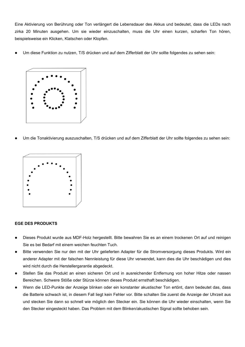Eine Aktivierung von Berührung oder Ton verlängert die Lebensdauer des Akkus und bedeutet, dass die LEDs nach zirka 20 Minuten ausgehen. Um sie wieder einzuschalten, muss die Uhr einen kurzen, scharfen Ton hören, beispielsweise ein Klicken, Klatschen oder Klopfen.

Um diese Funktion zu nutzen, T/S drücken und auf dem Zifferblatt der Uhr sollte folgendes zu sehen sein:



Um die Tonaktivierung auszuschalten, T/S drücken und auf dem Zifferblatt der Uhr sollte folgendes zu sehen sein:



# **EGE DES PRODUKTS**

- Dieses Produkt wurde aus MDF-Holz hergestellt. Bitte bewahren Sie es an einem trockenen Ort auf und reinigen Sie es bei Bedarf mit einem weichen feuchten Tuch.
- Bitte verwenden Sie nur den mit der Uhr gelieferten Adapter für die Stromversorgung dieses Produkts. Wird ein anderer Adapter mit der falschen Nennleistung für diese Uhr verwendet, kann dies die Uhr beschädigen und dies wird nicht durch die Herstellergarantie abgedeckt.
- Stellen Sie das Produkt an einen sicheren Ort und in ausreichender Entfernung von hoher Hitze oder nassen Bereichen. Schwere Stöße oder Stürze können dieses Produkt ernsthaft beschädigen.
- Wenn die LED-Punkte der Anzeige blinken oder ein konstanter akustischer Ton ertönt, dann bedeutet das, dass die Batterie schwach ist, in diesem Fall liegt kein Fehler vor. Bitte schalten Sie zuerst die Anzeige der Uhrzeit aus und stecken Sie dann so schnell wie möglich den Stecker ein. Sie können die Uhr wieder einschalten, wenn Sie den Stecker eingesteckt haben. Das Problem mit dem Blinken/akustischen Signal sollte behoben sein.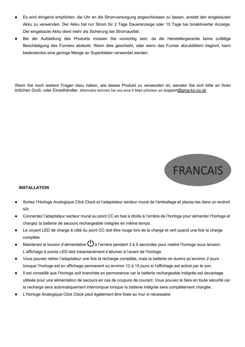- Es wird dringend empfohlen, die Uhr an die Stromversorgung angeschlossen zu lassen, anstatt den eingebauten Akku zu verwenden. Der Akku hat nur Strom für 2 Tage Daueranzeige oder 15 Tage bei tonaktivierter Anzeige. Der eingebaute Akku dient mehr als Sicherung bei Stromausfall.
- Bei der Aufstellung des Produkts müssen Sie vorsichtig sein, da die Herstellergarantie keine zufällige Beschädigung des Furniers abdeckt.Wenn dies geschieht, oder wenn das Furnier abzublättern beginnt, kann bedenkenlos eine geringe Menge an Superkleber verwendet werden.

Wenn Sie noch weitere Fragen dazu haben, wie dieses Produkt zu verwenden ist, wenden Sie sich bitte an Ihren örtlichen Groß- oder Einzelhändler. Alternativ können Sie uns eine E-Mail schicken an [support@ging-ko.co.uk](quot;mailto:customer.service@ging-ko.co.uk")



# **INSTALLATION**

- Sortez l'Horloge Analogique Click Clock et l'adaptateur secteur mural de l'emballage et placez-les dans un endroit sûr.
- Connectez l'adaptateur secteur mural au point CC en bas à droite à l'arrière de l'horloge pour alimenter l'horloge et chargez la batterie de secours rechargeable intégrée en même temps.
- Le voyant LED de charge à côté du point CC doit être rouge lors de la charge et vert quand une fois la charge complète.
- Maintenez le bouton d'alimentation  $\bigcup$  à l'arrière pendant 3 à 5 secondes pour mettre l'horloge sous tension. L'affichage à points LED doit instantanément s'allumer à l'avant de l'horloge.
- Vous pouvez retirer l'adaptateur une fois la recharge complète, mais la batterie ne durera qu'environ 2 jours lorsque l'horloge est en affichage permanent ou environ 12 à 15 jours si l'affichage est activé par le son.
- Il est conseillé que l'horloge soit branchée en permanence car la batterie rechargeable intégrée est davantage utilisée pour une alimentation de secours en cas de coupure de courant. Vous pouvez le faire en toute sécurité car la recharge sera automatiquement interrompue lorsque la batterie intégrée sera complètement chargée.
- L'Horloge Analogique Click Clock peut également être fixée au mur si nécessaire.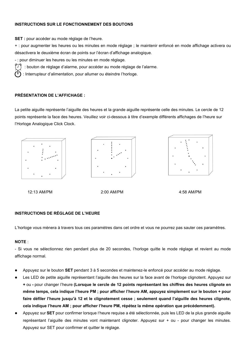# **INSTRUCTIONS SUR LE FONCTIONNEMENT DES BOUTONS**

**SET :** pour accéder au mode réglage de l'heure.

+ : pour augmenter les heures ou les minutes en mode réglage ; le maintenir enfoncé en mode affichage activera ou désactivera le deuxième écran de points sur l'écran d'affichage analogique.

- : pour diminuer les heures ou les minutes en mode réglage.

: bouton de réglage d'alarme, pour accéder au mode réglage de l'alarme.

: Interrupteur d'alimentation, pour allumer ou éteindre l'horloge.

# **PRÉSENTATION DE L'AFFICHAGE :**

La petite aiguille représente l'aiguille des heures et la grande aiguille représente celle des minutes. Le cercle de 12 points représente la face des heures. Veuillez voir ci-dessous à titre d'exemple différents affichages de l'heure sur l'Horloge Analogique Click Clock.







12:13 AM/PM 2:00 AM/PM 4:58 AM/PM

# **INSTRUCTIONS DE RÉGLAGE DE L'HEURE**

L'horloge vous mènera à travers tous ces paramètres dans cet ordre et vous ne pourrez pas sauter ces paramètres.

# **NOTE** :

- Si vous ne sélectionnez rien pendant plus de 20 secondes, l'horloge quitte le mode réglage et revient au mode affichage normal.

- Appuyez sur le bouton **SET** pendant 3 à 5 secondes et maintenez-le enfoncé pour accéder au mode réglage.
- Les LED de petite aiguille représentant l'aiguille des heures sur la face avant de l'horloge clignotent. Appuyez sur **+** ou **-** pour changer l'heure **(Lorsque le cercle de 12 points représentant les chiffres des heures clignote en** même temps, cela indique l'heure PM ; pour afficher l'heure AM, appuvez simplement sur le bouton + pour **faire défiler l'heure jusqu'à 12 et le clignotement cesse ; seulement quand l'aiguille des heures clignote, cela indique l'heure AM ; pour afficher l'heure PM, répétez la même opération que précédemment).**
- Appuyez sur **SET** pour confirmer lorsque l'heure requise a été sélectionnée, puis les LED de la plus grande aiguille représentant l'aiguille des minutes vont maintenant clignoter. Appuyez sur + ou - pour changer les minutes.<br>Appuyez sur SET pour confirmer et quitter le réglage.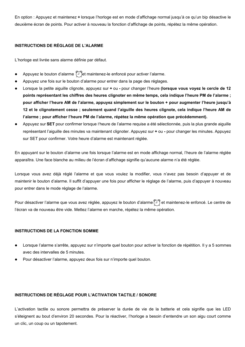En option : Appuyez et maintenez **+** lorsque l'horloge est en mode d'affichage normal jusqu'à ce qu'un bip désactive le deuxième écran de points. Pour activer à nouveau la fonction d'affichage de points, répétez la même opération.

# **INSTRUCTIONS DE RÉGLAGE DE L'ALARME**

L'horloge est livrée sans alarme définie par défaut.

- Appuyez le bouton d'alarme  $\bigcirc$  et maintenez-le enfoncé pour activer l'alarme.
- Appuyez une fois sur le bouton d'alarme pour entrer dans la page des réglages.
- Lorsque la petite aiguille clignote, appuyez sur **+** ou **-** pour changer l'heure **(lorsque vous voyez le cercle de 12** points représentant les chiffres des heures clignoter en même temps, cela indique l'heure PM de l'alarme ; **pour afficher l'heure AM de l'alarme, appuyez simplement sur le bouton + pour augmenter l'heure jusqu'à 12 et le clignotement cesse ; seulement quand l'aiguille des heures clignote, cela indique l'heure AM de l'alarme ; pour afficher l'heure PM de l'alarme, répétez la même opération que précédemment).**
- Appuyez sur **SET** pour confirmer lorsque l'heure de l'alarme requise a été sélectionnée, puis la plus grande aiguille représentant l'aiguille des minutes va maintenant clignoter. Appuyez sur **+** ou - pour changer les minutes. Appuyez sur SET pour confirmer. Votre heure d'alarme est maintenant réglée.

En appuyant sur le bouton d'alarme une fois lorsque l'alarme est en mode affichage normal, l'heure de l'alarme réglée apparaîtra. Une face blanche au milieu de l'écran d'affichage signifie qu'aucune alarme n'a été réglée.

Lorsque vous avez déjà réglé l'alarme et que vous voulez la modifier, vous n'avez pas besoin d'appuyer et de maintenir le bouton d'alarme. Il suffit d'appuyer une fois pourafficher le réglage de l'alarme, puis d'appuyer à nouveau pour entrer dans le mode réglage de l'alarme.

Pour désactiver l'alarme que vous avez réglée, appuyez le bouton d'alarme  $\sim$  et maintenez-le enfoncé. Le centre de l'écran va de nouveau être vide. Mettez l'alarme en marche, répétez la même opération.

# **INSTRUCTIONS DE LA FONCTION SOMME**

- Lorsque l'alarme s'arrête, appuyez sur n'importe quel bouton pour activer la fonction de répétition. Il y a 5 sommes avec des intervalles de 5 minutes.
- Pour désactiver l'alarme, appuyez deux fois sur n'importe quel bouton.

# **INSTRUCTIONS DE RÉGLAGE POUR L'ACTIVATION TACTILE / SONORE**

L'activation tactile ou sonore permettra de préserver la durée de vie de la batterie et cela signifie que les LED s'éteignent au bout d'environ 20 secondes. Pour la réactiver, l'horloge a besoin d'entendre un son aigu court comme un clic, un coup ou un tapotement.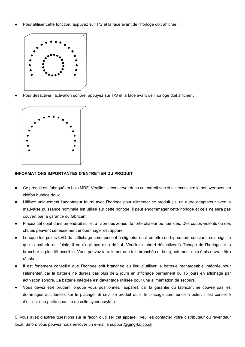Pour utiliser cette fonction, appuyez sur T/S et la face avant de l'horloge doit afficher :



Pour désactiver l'activation sonore, appuyez sur T/S et la face avant de l'horloge doit afficher :



# **INFORMATIONS IMPORTANTES D'ENTRETIEN DU PRODUIT**

- Ce produit est fabriqué en bois MDF. Veuillez le conserver dans un endroit sec et sinécessaire le nettoyer avec un chiffon humide doux.
- Utilisez uniquement l'adaptateur fourni avec l'horloge pour alimenter ce produit ; siun autre adaptateur avec la mauvaise puissance nominale est utilisé sur cette horloge, il peut endommager cette horloge et cela ne sera pas couvert par la garantie du fabricant.
- Placez cet objet dans un endroit sûr et à l'abri des zones de forte chaleur ou humides. Des coups violents ou des chutes peuvent sérieusement endommager cet appareil.
- Lorsque les points LED de l'affichage commencent à clignoter ou à émettre un bip sonore constant, cela signifie que la batterie est faible, il ne s'agit pas d'un défaut. Veuillez d'abord désactiver l'affichage de l'horloge et la brancher le plus tôt possible. Vous pouvez la rallumer une fois branchée et le clignotement / bip émis devrait être résolu.
- Il est fortement conseillé que l'horloge soit branchée au lieu d'utiliser la batterie rechargeable intégrée pour l'alimenter, car la batterie ne durera pas plus de 2 jours en affichage permanent ou 15 jours en affichage par activation sonore. La batterie intégrée est davantage utilisée pour une alimentation de secours.
- Vous devez être prudent lorsque vous positionnez l'appareil, car la garantie du fabricant ne couvre pas les dommages accidentels sur le placage. Si cela se produit ou si le placage commence à peler, il est conseillé d'utiliser une petite quantité de colle cyanoacrylate.

Si vous avez d'autres questions sur la façon d'utiliser cet appareil, veuillez contacter votre distributeur ou revendeur local. Sinon, vous pouvez nous envoyer un e-mail à [support@ging-ko.co.uk](mailto:customer.service@ging-ko.co.uk)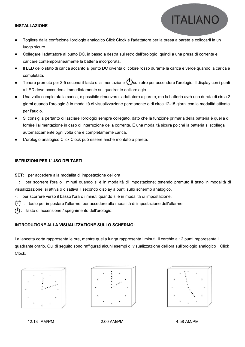#### **INSTALLAZIONE**

- Togliere dalla confezione l'orologio analogico Click Clock e l'adattatore per la presa a parete e collocarli in un luogo sicuro.
- Collegare l'adattatore al punto DC, in basso a destra sul retro dell'orologio, quindi a una presa di corrente e caricare contemporaneamente la batteria incorporata.
- Il LED dello stato di carica accanto al punto DC diventa di colore rosso durante la carica e verde quando la carica è completata.
- Tenere premuto per 3-5 secondi il tasto di alimentazione  $\binom{l}{s}$ sul retro per accendere l'orologio. Il display con i punti a LED deve accendersi immediatamente sul quadrante dell'orologio.
- Una volta completata la carica, è possibile rimuovere l'adattatore a parete, ma la batteria avrà una durata di circa 2 giorni quando l'orologio è in modalità di visualizzazione permanente o di circa 12-15 giorni con la modalità attivata per l'audio.
- Si consiglia pertanto di lasciare l'orologio sempre collegato, dato che la funzione primaria della batteria è quella di fornire l'alimentazione in caso di interruzione della corrente. È una modalità sicura poiché la batteria si scollega automaticamente ogni volta che è completamente carica.
- L'orologio analogico Click Clock può essere anche montato a parete.

# **ISTRUZIONI PER L'USO DEI TASTI**

**SET**: per accedere alla modalità di impostazione dell'ora

+ : per scorrere l'ora o i minuti quando si è in modalità di impostazione; tenendo premuto il tasto in modalità di visualizzazione, siattiva o disattiva il secondo display a punti sullo schermo analogico.

- : per scorrere verso il basso l'ora o i minuti quando si è in modalità di impostazione.

9 : tasto per impostare l'allarme, per accedere alla modalità di impostazione dell'allarme.

: tasto di accensione / spegnimento dell'orologio. ر ا

# **INTRODUZIONE ALLA VISUALIZZAZIONE SULLO SCHERMO:**

La lancetta corta rappresenta le ore, mentre quella lunga rappresenta i minuti. Il cerchio a 12 punti rappresenta il quadrante orario. Qui di seguito sono raffigurati alcuni esempi di visualizzazione dell'ora sull'orologio analogico Click Clock.







**ITALIANO** 

12:13 AM/PM 2:00 AM/PM 4:58 AM/PM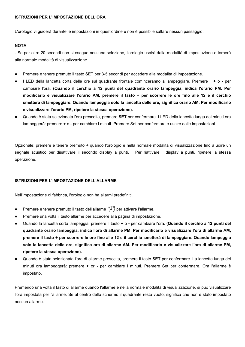#### **ISTRUZIONI PER L'IMPOSTAZIONE DELL'ORA**

L'orologio vi guiderà durante le impostazioni in quest'ordine e non è possibile saltare nessun passaggio.

### **NOTA**:

- Se per oltre 20 secondi non si esegue nessuna selezione, l'orologio uscirà dalla modalità di impostazione e tornerà alla normale modalità di visualizzazione.

- Premere e tenere premuto il tasto **SET** per 3-5 secondi per accedere alla modalità di impostazione.
- I LED della lancetta corta delle ore sul quadrante frontale cominceranno a lampeggiare. Premere **+** o **-** per cambiare l'ora. **(Quando il cerchio a 12 punti del quadrante orario lampeggia, indica l'orario PM. Per** modificarlo e visualizzare l'orario AM, premere il tasto + per scorrere le ore fino alle 12 e il cerchio **smetterà di lampeggiare. Quando lampeggia solo la lancetta delle ore, significa orario AM.Per modificarlo e visualizzare l'orario PM, ripetere la stessa operazione).**
- Quando è stata selezionata l'ora prescelta, premere **SET** per confermare. I LED della lancetta lunga dei minuti ora lampeggerà: premere + o - per cambiare i minuti. Premere Set per confermare e uscire dalle impostazioni.

Opzionale: premere e tenere premuto **+** quando l'orologio è nella normale modalità di visualizzazione fino a udire un segnale acustico per disattivare il secondo display a punti. Per riattivare il display a punti, ripetere la stessa operazione.

#### **ISTRUZIONI PER L'IMPOSTAZIONE DELL'ALLARME**

Nell'impostazione di fabbrica, l'orologio non ha allarmi predefiniti.

- Premere e tenere premuto il tasto dell'allarme  $\langle \widehat{\ } \rangle$  per attivare l'allarme.
- Premere una volta il tasto allarme per accedere alla pagina di impostazione.
- Quando la lancetta corta lampeggia, premere il tasto **+** o **-** percambiare l'ora. **(Quando il cerchio a 12 punti del quadrante orario lampeggia, indica l'ora di allarme PM. Per modificarlo e visualizzare l'ora di allarme AM,** premere il tasto + per scorrere le ore fino alle 12 e il cerchio smetterà di lampeggiare. Quando lampeggia solo la lancetta delle ore, significa ora di allarme AM. Per modificarlo e visualizzare l'ora di allarme PM, **ripetere la stessa operazione).**
- Quando è stata selezionata l'ora di allarme prescelta, premere il tasto **SET** per confermare. La lancetta lunga dei minuti ora lampeggerà: premere **+** or **-** per cambiare i minuti. Premere Set per confermare. Ora l'allarme è impostato.

Premendo una volta il tasto di allarme quando l'allarme è nella normale modalità di visualizzazione, si può visualizzare l'ora impostata per l'allarme. Se al centro dello schermo il quadrante resta vuoto, significa che non è stato impostato nessun allarme.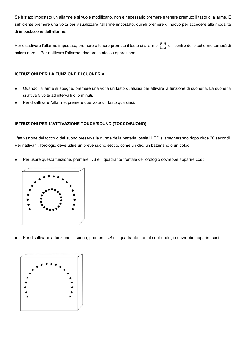Se è stato impostato un allarme e si vuole modificarlo, non è necessario premere e tenere premuto il tasto di allarme. È sufficiente premere una volta per visualizzare l'allarme impostato, quindi premere di nuovo per accedere alla modalità di impostazione dell'allarme.

Per disattivare l'allarme impostato, premere e tenere premuto il tasto di allarme  $\hat{I}$  e il centro dello schermo tornerà di colore nero. Per riattivare l'allarme, ripetere la stessa operazione.

# **ISTRUZIONI PER LA FUNZIONE DI SUONERIA**

- Quando l'allarme si spegne, premere una volta un tasto qualsiasi per attivare la funzione di suoneria. La suoneria si attiva 5 volte ad intervalli di 5 minuti.
- Per disattivare l'allarme, premere due volte un tasto qualsiasi.

# **ISTRUZIONI PER L'ATTIVAZIONE TOUCH/SOUND (TOCCO/SUONO)**

L'attivazione del tocco o del suono preserva la durata della batteria, ossia i LED si spegneranno dopo circa 20 secondi. Per riattivarli, l'orologio deve udire un breve suono secco, come un clic, un battimano o un colpo.

Per usare questa funzione, premere T/S e il quadrante frontale dell'orologio dovrebbe apparire così:



Per disattivare la funzione di suono, premere T/S e il quadrante frontale dell'orologio dovrebbe apparire così:

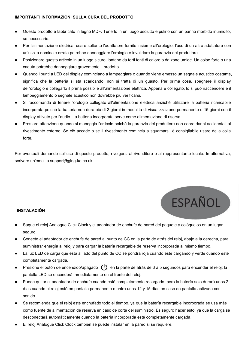## **IMPORTANTI INFORMAZIONI SULLA CURA DEL PRODOTTO**

- Questo prodotto è fabbricato in legno MDF. Tenerlo in un luogo asciutto e pulirlo con un panno morbido inumidito, se necessario.
- Per l'alimentazione elettrica, usare soltanto l'adattatore fornito insieme all'orologio; l'uso di un altro adattatore con un'uscita nominale errata potrebbe danneggiare l'orologio e invalidare la garanzia del produttore.
- Posizionare questo articolo in un luogo sicuro, lontano da forti fonti di calore o da zone umide. Un colpo forte o una caduta potrebbe danneggiare gravemente il prodotto.
- Quando i punti a LED del display cominciano a lampeggiare o quando viene emesso un segnale acustico costante, significa che la batteria si sta scaricando, non si tratta di un guasto. Per prima cosa, spegnere il display dell'orologio e collegarlo il prima possibile all'alimentazione elettrica. Appena è collegato, lo si può riaccendere e il lampeggiamento o segnale acustico non dovrebbe più verificarsi.
- Si raccomanda di tenere l'orologio collegato all'alimentazione elettrica anziché utilizzare la batteria ricaricabile incorporata poiché la batteria non dura più di 2 giorni in modalità di visualizzazione permanente o 15 giorni con il display attivato per l'audio. La batteria incorporata serve come alimentazione di riserva.
- Prestare attenzione quando si maneggia l'articolo poiché la garanzia del produttore non copre danni accidentali al rivestimento esterno. Se ciò accade o se il rivestimento comincia a squamarsi,è consigliabile usare della colla forte.

Per eventuali domande sull'uso di questo prodotto, rivolgersi al rivenditore o al rappresentante locale. In alternativa,<br>scrivere un'email a support@ging-ko.co.uk



# **INSTALACIÓN**

- Saque el reloj Analogue Click Clock y el adaptador de enchufe de pared del paquete y colóquelos en un lugar seguro.
- Conecte el adaptador de enchufe de pared al punto de CC en la parte de atrás del reloj, abajo a la derecha, para suministrar energía al reloj y para cargar la batería recargable de reserva incorporada al mismo tiempo.
- La luz LED de carga que está al lado del punto de CC se pondrá roja cuando esté cargando y verde cuando esté completamente cargada.
- Presione el botón de encendido/apagado  $\binom{l}{r}$  en la parte de atrás de 3 a 5 segundos para encender el reloj; la pantalla LED se encenderá inmediatamente en el frente del reloj.
- Puede quitar el adaptador de enchufe cuando esté completamente recargado, pero la batería solo durará unos 2 días cuando el reloj esté en pantalla permanente o entre unos 12 y 15 días en caso de pantalla activada con sonido.
- Se recomienda que el reloj esté enchufado todo el tiempo, ya que la batería recargable incorporada se usa más como fuente de alimentación de reserva en caso de corte del suministro. Es seguro hacer esto, ya que la carga se desconectará automáticamente cuando la batería incorporada esté completamente cargada.
- El reloj Analogue Click Clock también se puede instalar en la pared si se requiere.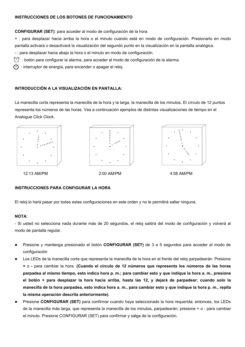# **INSTRUCCIONES DE LOS BOTONES DE FUNCIONAMIENTO**

**CONFIGURAR (SET)**: para acceder al modo de configuración de la hora

+ : para desplazar hacia arriba la hora o el minuto cuando está en modo de configuración. Presionarlo en modo pantalla activará o desactivará la visualización del segundo punto en la visualización en la pantalla analógica.

- : para desplazar hacia abajo la hora o el minuto en modo de configuración.

: botón para configurar la alarma, para acceder al modo de configuración de la alarma.

(1) : interruptor de energía, para encender o apagar el reloj.

# **INTRODUCCIÓN A LA VISUALIZACIÓN EN PANTALLA:**

La manecilla corta representa la manecilla de la hora y la larga, la manecilla de los minutos. El círculo de 12 puntos representa los números de las horas. Vea a continuación ejemplos de distintas visualizaciones de tiempo en el Analogue Click Clock.



12:13 AM/PM 2:00 AM/PM 4:58 AM/PM



# **INSTRUCCIONES PARA CONFIGURAR LA HORA**

El reloj lo hará pasar por todas estas configuraciones en este orden y no le permitirá saltar ninguna.

# **NOTA**:

- Si usted no selecciona nada durante más de 20 segundos, el reloj saldrá del modo de configuración y volverá al modo de pantalla regular.

- Presione y mantenga presionado el botón **CONFIGURAR (SET)** de 3 a 5 segundos para acceder al modo de configuración
- Los LEDs de la manecilla corta que representa la manecilla de la hora en el frente del reloj parpadearán. Presione **+** o **-** para cambiar la hora. **(Cuando el círculo de 12 números que representa los números de las horas** parpadea al mismo tiempo, esto indica hora p. m.; para cambiar esto y que indique la hora a. m., presione el botón + para desplazar la hora hacia arriba, hasta las 12, y dejará de parpadear; cuando solo la manecilla de la hora parpadea, esto indica hora a. m., para cambiar esto y que indique la hora p. m., repita **la misma operación descrita anteriormente).**
- Presione **CONFIGURAR (SET)** para confirmar cuando haya seleccionado la hora requerida; entonces, los LEDs de la manecilla más larga, que representa la manecilla de los minutos, parpadearán; presione + o - para cambiar el minuto. Presione CONFIGURAR (SET) para confirmar y salga de la configuración.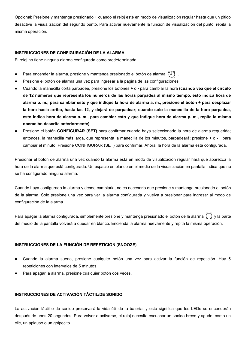Opcional: Presione y mantenga presionado **+** cuando el reloj esté en modo de visualización regular hasta que un pitido desactive la visualización del segundo punto. Para activar nuevamente la función de visualización del punto, repita la misma operación.

# **INSTRUCCIONES DE CONFIGURACIÓN DE LA ALARMA**

El reloj no tiene ninguna alarma configurada como predeterminada.

- Para encender la alarma, presione y mantenga presionado el botón de alarma  $\langle \widehat{\ } \rangle$ .
- Presione el botón de alarma una vez para ingresar a la página de las configuraciones
- Cuando la manecilla corta parpadee, presione los botones **+** o **-** para cambiar la hora **(cuando vea que el círculo** de 12 números que representa los números de las horas parpadea al mismo tiempo, esto indica hora de alarma p. m.; para cambiar esto y que indique la hora de alarma a. m., presione el botón + para desplazar la hora hacia arriba, hasta las 12, y dejará de parpadear; cuando solo la manecilla de la hora parpadea, esto indica hora de alarma a. m., para cambiar esto y que indique hora de alarma p. m., repita la misma **operación descrita anteriormente)**.
- Presione el botón **CONFIGURAR (SET)** para confirmar cuando haya seleccionado la hora de alarma requerida; entonces, la manecilla más larga, que representa la manecilla de los minutos,parpadeará; presione **+** o **-** para cambiar el minuto. Presione CONFIGURAR (SET) para confirmar. Ahora, la hora de la alarma está configurada.

Presionar el botón de alarma una vez cuando la alarma está en modo de visualización regular hará que aparezca la hora de la alarma que está configurada. Un espacio en blanco en el medio de la visualización en pantalla indica que no se ha configurado ninguna alarma.

Cuando haya configurado la alarma y desee cambiarla, no es necesario que presione y mantenga presionado el botón de la alarma. Solo presione una vez para ver la alarma configurada y vuelva a presionar para ingresar al modo de configuración de la alarma.

Para apagar la alarma configurada, simplemente presione y mantenga presionado el botón de la alarma  $(1)$  y la parte del medio de la pantalla volverá a quedar en blanco. Encienda la alarma nuevamente y repita la misma operación.

# **INSTRUCCIONES DE LA FUNCIÓN DE REPETICIÓN (SNOOZE)**

- Cuando la alarma suena, presione cualquier botón una vez para activar la función de repetición. Hay 5 repeticiones con intervalos de 5 minutos.
- Para apagar la alarma, presione cualquier botón dos veces.

# **INSTRUCCIONES DE ACTIVACIÓN TÁCTIL/DE SONIDO**

La activación táctil o de sonido preservará la vida útil de la batería, y esto significa que los LEDs se encenderán después de unos 20 segundos. Para volver a activarse, el reloj necesita escuchar un sonido breve y agudo, como un clic, un aplauso o un golpecito.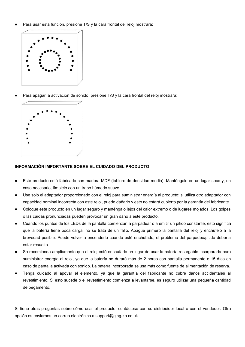Para usar esta función, presione T/S y la cara frontal del reloj mostrará:



Para apagar la activación de sonido, presione T/S y la cara frontal del reloj mostrará:



# **INFORMACIÓN IMPORTANTE SOBRE EL CUIDADO DEL PRODUCTO**

- Este producto está fabricado con madera MDF (tablero de densidad media). Manténgalo en un lugar seco y, en caso necesario, límpielo con un trapo húmedo suave.
- Use solo el adaptador proporcionado con el reloj para suministrar energía al producto; siutiliza otro adaptador con capacidad nominal incorrecta con este reloj, puede dañarlo y esto no estará cubierto por la garantía del fabricante.
- Coloque este producto en un lugar seguro y manténgalo lejos del calor extremo o de lugares mojados. Los golpes o las caídas pronunciadas pueden provocarun gran daño a este producto.
- Cuando los puntos de los LEDs de la pantalla comienzan a parpadear o a emitir un pitido constante, esto significa que la batería tiene poca carga, no se trata de un fallo. Apague primero la pantalla del reloj y enchúfelo a la brevedad posible. Puede volver a encenderlo cuando esté enchufado; el problema del parpadeo/pitido debería estar resuelto.
- Se recomienda ampliamente que el reloj esté enchufado en lugar de usar la batería recargable incorporada para suministrar energía al reloj, ya que la batería no durará más de 2 horas con pantalla permanente o 15 días en caso de pantalla activada con sonido. La batería incorporada se usa más como fuente de alimentación de reserva.
- Tenga cuidado al apoyar el elemento, ya que la garantía del fabricante no cubre daños accidentales al revestimiento. Si esto sucede o el revestimiento comienza a levantarse, es seguro utilizar una pequeña cantidad de pegamento.

Si tiene otras preguntas sobre cómo usar el producto, contáctese con su distribuidor local o con el vendedor. Otra opción es enviarnos un correo electrónico a [support@ging-ko.co.uk](mailto:customer.service@ging-ko.co.uk)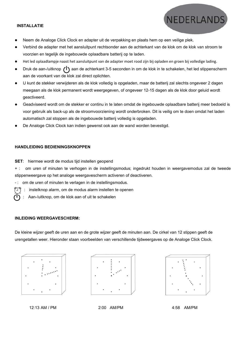#### **INSTALLATIE**

- Neem de Analoge Click Clock en adapter uit de verpakking en plaats hem op een veilige plek.
- Verbind de adapter met het aansluitpunt rechtsonder aan de achterkant van de klok om de klok van stroom te voorzien en tegelijk de ingebouwde oplaadbare batterij op te laden.
- Het led oplaadlampje naast het aansluitpunt van de adapter moet rood zijn bij opladen en groen bij volledige lading.
- Druk de aan-/uitknop  $(1)$  aan de achterkant 3-5 seconden in om de klok in te schakelen, het led stippenscherm aan de voorkant van de klok zal direct oplichten.
- U kunt de stekker verwijderen als de klok volledig isopgeladen, maar de batterij zal slechts ongeveer 2 dagen meegaan als de klok permanent wordt weergegeven, of ongeveer 12-15 dagen als de klok door geluid wordt geactiveerd.
- Geadviseerd wordt om de stekker er continu in te laten omdat de ingebouwde oplaadbare batterij meer bedoeld is voor gebruik als back-up als de stroomvoorziening wordt onderbroken. Dit is veilig om te doen omdat het laden automatisch zal stoppen als de ingebouwde batterij volledig is opgeladen.
- De Analoge Click Clock kan indien gewenst ook aan de wand worden bevestigd.

### **HANDLEIDING BEDIENINGSKNOPPEN**

**SET**: hiermee wordt de modus tijd instellen geopend

+ : om uren of minuten te verhogen in de instellingsmodus; ingedrukt houden in weergavemodus zal de tweede stippenweergave op het analoge weergavescherm activeren of deactiveren.

- -: om de uren of minuten te verlagen in de instellingsmodus.
- : instelknop alarm, om de modus alarm instellen te openen
- : Aan-/uitknop, om de klok aan of uit te schakelen

#### **INLEIDING WEERGAVESCHERM:**

De kleine wijzer geeft de uren aan en de grote wijzer geeft de minuten aan. De cirkel van 12 stippen geeft de urengetallen weer. Hieronder staan voorbeelden van verschillende tijdweergaves op de Analoge Click Clock.







NEDERLAND

12:13 AM / PM 2:00 AM/PM 4:58 AM/PM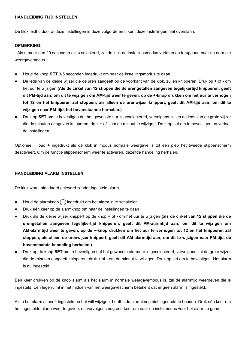## **HANDLEIDING TIJD INSTELLEN**

De klok leidt u door al deze instellingen in deze volgorde en u kunt deze instellingen niet overslaan.

# **OPMERKING:**

- Als u meer dan 20 seconden niets selecteert, zal de klok de instellingsmodus verlaten en teruggaan naar de normale weergavemodus.

- Houd de knop **SET** 3-5 seconden ingedrukt om naar de instellingsmodus te gaan
- De leds van de kleine wijzer die de uren aangeeft op de voorkant van de klok, zullen knipperen. Druk op **+** of **-** om het uur te wijzigen **(Als de cirkel van 12 stippen die de urengetallen aangeven tegelijkertijd knipperen, geeft** dit PM-tijd aan; om dit te wijzigen om AM-tijd weer te geven, op de +-knop drukken om het uur te verhogen tot 12 en het knipperen zal stoppen; als alleen de urenwijzer knippert, geeft dit AM-tijd aan; om dit te **wijzigen** naar PM-tijd, het bovenstaande herhalen.)
- Druk op **SET** om te bevestigen dat het gewenste uur is geselecteerd, vervolgens zullen de leds van de grote wijzer die de minuten aangeven knipperen, druk + of - om de minuut te wijzigen. Druk op set om te bevestigen en verlaat de instellingen.

Optioneel: Houd **+** ingedrukt als de klok in modus normale weergave is tot een piep het tweede stippenscherm deactiveert. Om de functie stippenscherm weer te activeren, dezelfde handeling herhalen.

## **HANDLEIDING ALARM INSTELLEN**

De klok wordt standaard geleverd zonder ingesteld alarm.

- Houd de alarmknop  $\binom{n}{k}$  ingedrukt om het alarm in te schakelen.
- Druk één keer op de alarmknop om naar de instellingen te gaan
- Druk als de kleine wijzer knippert op de knop **+** of **-** om het uur te wijzigen **(als de cirkel van 12 stippen die de urengetallen aangeven tegelijkertijd knipperen, geeft dit PM-alarmtijd aan; om dit te wijzigen om** AM-alarmtijd weer te geven, op de +-knop drukken om het uur te verhogen tot 12 en het knipperen zal stoppen; als alleen de urenwijzer knippert, geeft dit AM-alarmtijd aan; om dit te wijzigen naar PM-tijd, de **bovenstaande handeling herhalen.)**
- Druk op de knop **SET** om te bevestigen dat het gewenste alarmuuris geselecteerd, vervolgens zal de grote wijzer die de minuten aangeeft knipperen, druk + of - om de minuut te wijzigen. Druk op set om te bevestigen. Het alarm is nu ingesteld.

Eén keer drukken op de knop alarm als het alarm in normale weergavemodus is, zal de alarmtijd weergeven die is ingesteld. Een lege ruimt in het midden van het weergavescherm betekent dat er geen alarm is ingesteld.

Als u het alarm al heeft ingesteld en het wilt wijzigen, hoeft u de alarmknop niet ingedrukt te houden. Druk één keer om het ingestelde alarm weer te geven, en vervolgens nog een keerom naar de instelmodus voor het alarm te gaan.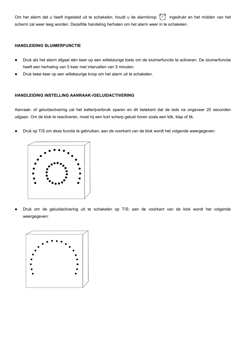Om het alarm dat u heeft ingesteld uit te schakelen, houdt u de alarmknop  $\bigoplus$  ingedrukt en het midden van het scherm zal weer leeg worden. Dezelfde handeling herhalen om het alarm weer in te schakelen.

# **HANDLEIDING SLUIMERFUNCTIE**

- Druk als het alarm afgaat één keer op een willekeurige toets om de sluimerfunctie te activeren. De sluimerfunctie heeft een herhaling van 5 keer met intervallen van 5 minuten.
- Druk twee keer op een willekeurige knop om het alarm uit te schakelen.

# **HANDLEIDING INSTELLING AANRAAK-/GELUIDACTIVERING**

Aanraak- of geluidactivering zal het batterijverbruik sparen en dit betekent dat de leds na ongeveer 20 seconden uitgaan. Om de klok te reactiveren, moet hij een kort scherp geluid horen zoals een klik, klap of tik.

Druk op T/S om deze functie te gebruiken; aan de voorkant van de klok wordt het volgende weergegeven:



 Druk om de geluidactivering uit te schakelen op T/S; aan de voorkant van de klok wordt het volgende weergegeven:

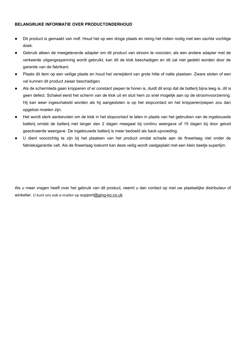# **BELANGRIJKE INFORMATIE OVER PRODUCTONDERHOUD**

- Dit product is gemaakt van mdf. Houd het op een droge plaats en reinig het indien nodig met een zachte vochtige doek.
- Gebruik alleen de meegeleverde adapter om dit product van stroom te voorzien; als een andere adapter met de verkeerde uitgangsspanning wordt gebruikt, kan dit de klok beschadigen en dit zal niet gedekt worden door de garantie van de fabrikant.
- Plaats dit item op een veilige plaats en houd het verwijderd van grote hitte of natte plaatsen. Zware stoten of een val kunnen dit product zwaar beschadigen.
- Als de schermleds gaan knipperen of er constant piepen te horen is, duidt dit erop dat de batterijbijna leeg is, dit is geen defect. Schakel eerst het scherm van de klok uit en sluit hem zo snel mogelijk aan op de stroomvoorziening. Hij kan weer ingeschakeld worden als hij aangesloten is op het stopcontact en het knipperen/piepen zou dan opgelost moeten zijn.
- Het wordt sterk aanbevolen om de klok in het stopcontact te laten in plaats van het gebruiken van de ingebouwde batterij omdat de batterij niet langer dan 2 dagen meegaat bij continu weergave of 15 dagen bij door geluid geactiveerde weergave. De ingebouwde batterij is meer bedoeld als back-upvoeding.
- U dient voorzichtig te zijn bij het plaatsen van het product omdat schade aan de fineerlaag niet onder de fabrieksgarantie valt. Als de fineerlaag loskomt kan deze veilig wordt vastgeplakt met een klein beetje superlijm.

Als u meer vragen heeft over het gebruik van dit product, neemt u dan contact op met uw plaatselijke distributeur of winkelier. U kunt ons ook e-mailen op [support@ging-ko.co.uk](quot;mailto:customer.service@ging-ko.co.uk")